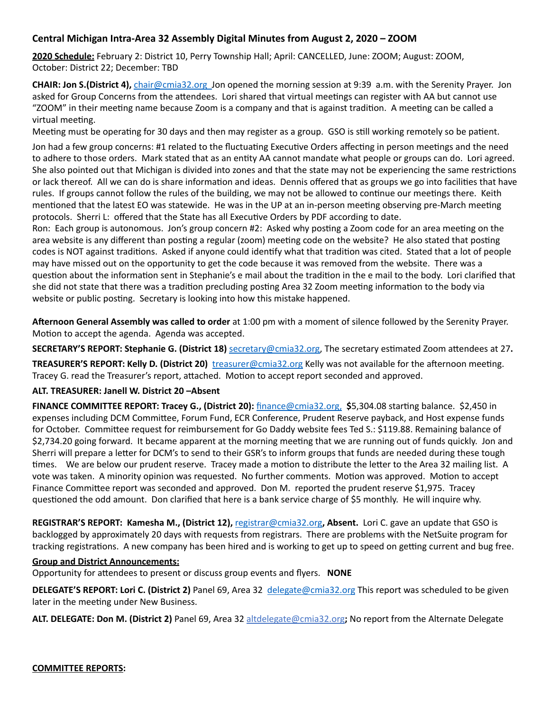# **Central Michigan Intra-Area 32 Assembly Digital Minutes from August 2, 2020 - ZOOM**

**2020 Schedule:** February 2: District 10, Perry Township Hall; April: CANCELLED, June: ZOOM; August: ZOOM, October: District 22; December: TBD

**CHAIR: Jon S.(District 4),** chair@cmia32.org Jon opened the morning session at 9:39 a.m. with the Serenity Prayer. Jon asked for Group Concerns from the attendees. Lori shared that virtual meetings can register with AA but cannot use "ZOOM" in their meeting name because Zoom is a company and that is against tradition. A meeting can be called a virtual meeting.

Meeting must be operating for 30 days and then may register as a group. GSO is still working remotely so be patient.

Jon had a few group concerns: #1 related to the fluctuating Executive Orders affecting in person meetings and the need to adhere to those orders. Mark stated that as an entity AA cannot mandate what people or groups can do. Lori agreed. She also pointed out that Michigan is divided into zones and that the state may not be experiencing the same restrictions or lack thereof. All we can do is share information and ideas. Dennis offered that as groups we go into facilities that have rules. If groups cannot follow the rules of the building, we may not be allowed to continue our meetings there. Keith mentioned that the latest EO was statewide. He was in the UP at an in-person meeting observing pre-March meeting protocols. Sherri L: offered that the State has all Executive Orders by PDF according to date.

Ron: Each group is autonomous. Jon's group concern #2: Asked why posting a Zoom code for an area meeting on the area website is any different than posting a regular (zoom) meeting code on the website? He also stated that posting codes is NOT against traditions. Asked if anyone could identify what that tradition was cited. Stated that a lot of people may have missed out on the opportunity to get the code because it was removed from the website. There was a question about the information sent in Stephanie's e mail about the tradition in the e mail to the body. Lori clarified that she did not state that there was a tradition precluding posting Area 32 Zoom meeting information to the body via website or public posting. Secretary is looking into how this mistake happened.

**Afternoon General Assembly was called to order** at 1:00 pm with a moment of silence followed by the Serenity Prayer. Motion to accept the agenda. Agenda was accepted.

**SECRETARY'S REPORT: Stephanie G. (District 18) Secretary@cmia32.org**, The secretary estimated Zoom attendees at 27.

**TREASURER'S REPORT: Kelly D. (District 20)** *[treasurer@cmia32.org](mailto:treasurer@cmia32.org)* Kelly was not available for the afternoon meeting. Tracey G. read the Treasurer's report, attached. Motion to accept report seconded and approved.

### **ALT. TREASURER: Janell W. District 20 –Absent**

**FINANCE COMMITTEE REPORT: Tracey G., (District 20):** [finance@cmia32.org](mailto:finance@cmia32.org), \$5,304.08 starting balance. \$2,450 in expenses including DCM Committee, Forum Fund, ECR Conference, Prudent Reserve payback, and Host expense funds for October. Committee request for reimbursement for Go Daddy website fees Ted S.: \$119.88. Remaining balance of \$2,734.20 going forward. It became apparent at the morning meeting that we are running out of funds quickly. Jon and Sherri will prepare a letter for DCM's to send to their GSR's to inform groups that funds are needed during these tough times. We are below our prudent reserve. Tracey made a motion to distribute the letter to the Area 32 mailing list. A vote was taken. A minority opinion was requested. No further comments. Motion was approved. Motion to accept Finance Committee report was seconded and approved. Don M. reported the prudent reserve \$1,975. Tracey questioned the odd amount. Don clarified that here is a bank service charge of \$5 monthly. He will inquire why.

**REGISTRAR'S REPORT: Kamesha M., (District 12),** [registrar@cmia32.org](mailto:registrar@cmia32.org), Absent. Lori C. gave an update that GSO is backlogged by approximately 20 days with requests from registrars. There are problems with the NetSuite program for tracking registrations. A new company has been hired and is working to get up to speed on getting current and bug free.

#### **Group and District Announcements:**

Opportunity for attendees to present or discuss group events and flyers. NONE

**DELEGATE'S REPORT: Lori C. (District 2)** Panel 69, Area 32 [delegate@cmia32.org](mailto:delegate@cmia32.org) This report was scheduled to be given later in the meeting under New Business.

**ALT. DELEGATE: Don M. (District 2)** Panel 69, Area 32 altdelegate@cmia32.org; No report from the Alternate Delegate